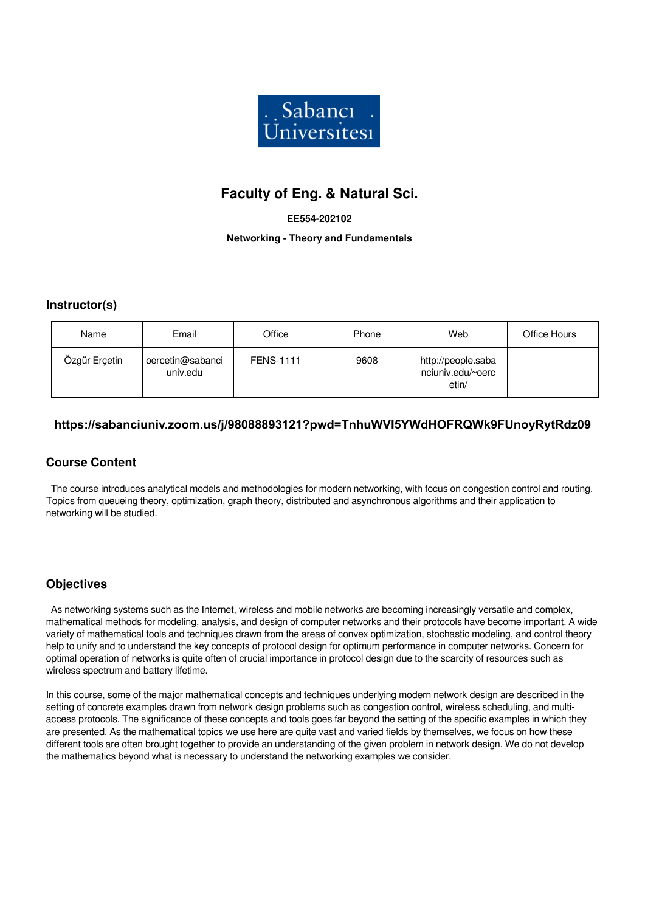

# **Faculty of Eng. & Natural Sci.**

#### **EE554-202102**

**Networking - Theory and Fundamentals**

### **Instructor(s)**

| Name          | Email                        | Office           | Phone | Web                                              | Office Hours |
|---------------|------------------------------|------------------|-------|--------------------------------------------------|--------------|
| Özgür Erçetin | oercetin@sabanci<br>univ.edu | <b>FENS-1111</b> | 9608  | http://people.saba<br>nciuniv.edu/~oerc<br>etin/ |              |

# **https://sabanciuniv.zoom.us/j/98088893121?pwd=TnhuWVI5YWdHOFRQWk9FUnoyRytRdz09**

# **Course Content**

 The course introduces analytical models and methodologies for modern networking, with focus on congestion control and routing. Topics from queueing theory, optimization, graph theory, distributed and asynchronous algorithms and their application to networking will be studied.

### **Objectives**

 As networking systems such as the Internet, wireless and mobile networks are becoming increasingly versatile and complex, mathematical methods for modeling, analysis, and design of computer networks and their protocols have become important. A wide variety of mathematical tools and techniques drawn from the areas of convex optimization, stochastic modeling, and control theory help to unify and to understand the key concepts of protocol design for optimum performance in computer networks. Concern for optimal operation of networks is quite often of crucial importance in protocol design due to the scarcity of resources such as wireless spectrum and battery lifetime.

In this course, some of the major mathematical concepts and techniques underlying modern network design are described in the setting of concrete examples drawn from network design problems such as congestion control, wireless scheduling, and multiaccess protocols. The significance of these concepts and tools goes far beyond the setting of the specific examples in which they are presented. As the mathematical topics we use here are quite vast and varied fields by themselves, we focus on how these different tools are often brought together to provide an understanding of the given problem in network design. We do not develop the mathematics beyond what is necessary to understand the networking examples we consider.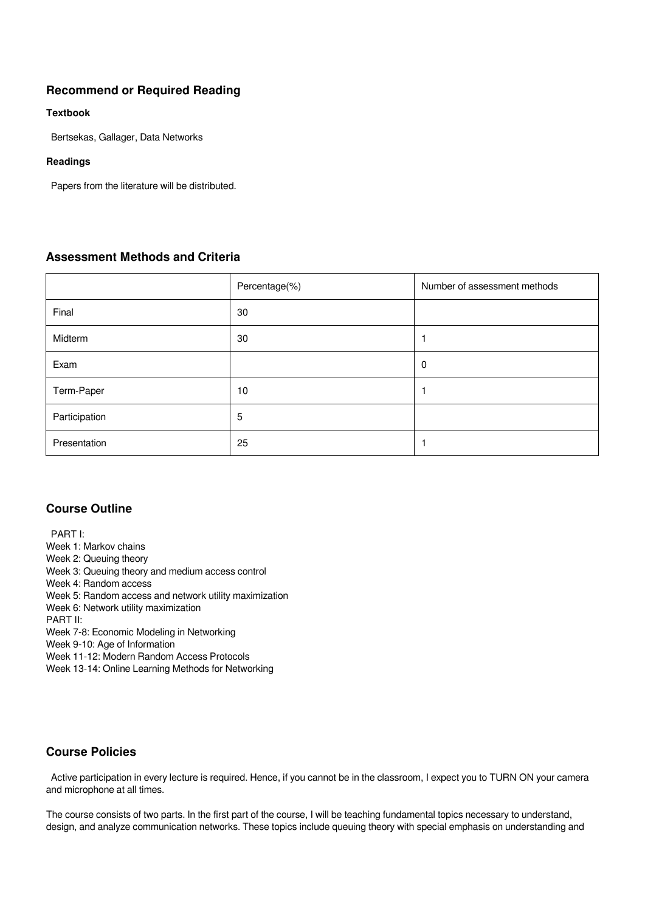# **Recommend or Required Reading**

#### **Textbook**

Bertsekas, Gallager, Data Networks

#### **Readings**

Papers from the literature will be distributed.

# **Assessment Methods and Criteria**

|               | Percentage(%) | Number of assessment methods |
|---------------|---------------|------------------------------|
| Final         | 30            |                              |
| Midterm       | 30            |                              |
| Exam          |               | 0                            |
| Term-Paper    | 10            |                              |
| Participation | 5             |                              |
| Presentation  | 25            |                              |

### **Course Outline**

 PART I: Week 1: Markov chains Week 2: Queuing theory Week 3: Queuing theory and medium access control Week 4: Random access Week 5: Random access and network utility maximization Week 6: Network utility maximization PART II: Week 7-8: Economic Modeling in Networking Week 9-10: Age of Information

Week 11-12: Modern Random Access Protocols

Week 13-14: Online Learning Methods for Networking

# **Course Policies**

 Active participation in every lecture is required. Hence, if you cannot be in the classroom, I expect you to TURN ON your camera and microphone at all times.

The course consists of two parts. In the first part of the course, I will be teaching fundamental topics necessary to understand, design, and analyze communication networks. These topics include queuing theory with special emphasis on understanding and